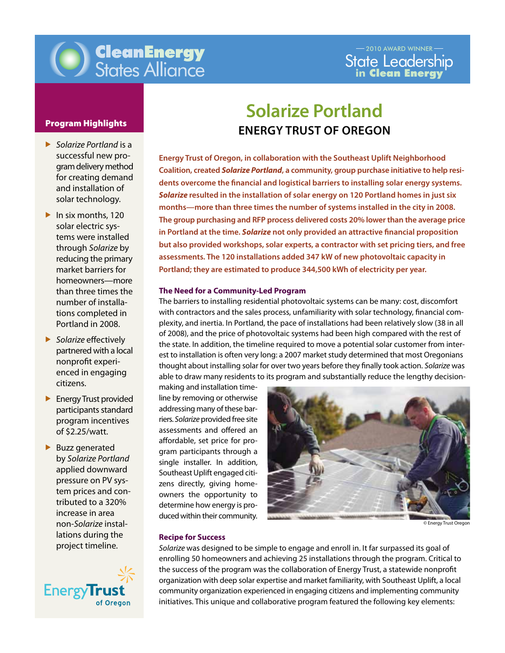

- *Solarize Portland* is a successful new programdeliverymethod for creating demand and installation of solar technology.
- $\blacktriangleright$  In six months, 120 solar electric systems were installed through *Solarize* by reducing the primary market barriers for homeowners—more than three times the number of installations completed in Portland in 2008.
- *Solarize* effectively partnered with a local nonprofit experienced in engaging citizens.
- **Energy Trust provided** participants standard program incentives of \$2.25/watt.
- $\blacktriangleright$  Buzz generated by *Solarize Portland* applied downward pressure on PV system prices and contributed to a 320% increase in area non-*Solarize* installations during the project timeline.



# **Solarize Portland Program Highlights**<br> **ENERGY TRUST OF OREGON**

Portland; they are estimated to produce 344,500 kWh of electricity per year<mark>.</mark> **Energy Trust of Oregon, in collaboration with the Southeast Uplift Neighborhood Coalition, created** *Solarize Portland***, a community, group purchase initiative to help residents overcome the financial and logistical barriers to installing solar energy systems.**  *Solarize* **resulted in the installation of solar energy on 120 Portland homes in just six months—more than three times the number of systems installed in the city in 2008. The group purchasing and RFP process delivered costs 20% lower than the average price in Portland at the time.** *Solarize* **not only provided an attractive financial proposition but also provided workshops, solar experts, a contractor with set pricing tiers, and free assessments. The 120 installations added 347 kW of new photovoltaic capacity in** 

#### **The Need for a Community-Led Program**

The barriers to installing residential photovoltaic systems can be many: cost, discomfort with contractors and the sales process, unfamiliarity with solar technology, financial complexity, and inertia. In Portland, the pace of installations had been relatively slow (38 in all of 2008), and the price of photovoltaic systems had been high compared with the rest of the state. In addition, the timeline required to move a potential solar customer from interest to installation is often very long: a 2007 market study determined that most Oregonians thought about installing solar for over two years before they finally took action. *Solarize* was able to draw many residents to its program and substantially reduce the lengthy decision-

making and installation timeline by removing or otherwise addressing many of these barriers. *Solarize* provided free site assessments and offered an affordable, set price for program participants through a single installer. In addition, Southeast Uplift engaged citizens directly, giving homeowners the opportunity to determine how energy is produced within their community.



© Energy Trust Oregon

#### **Recipe for Success**

*Solarize* was designed to be simple to engage and enroll in. It far surpassed its goal of enrolling 50 homeowners and achieving 25 installations through the program. Critical to the success of the program was the collaboration of Energy Trust, a statewide nonprofit organization with deep solar expertise and market familiarity, with Southeast Uplift, a local community organization experienced in engaging citizens and implementing community initiatives. This unique and collaborative program featured the following key elements: